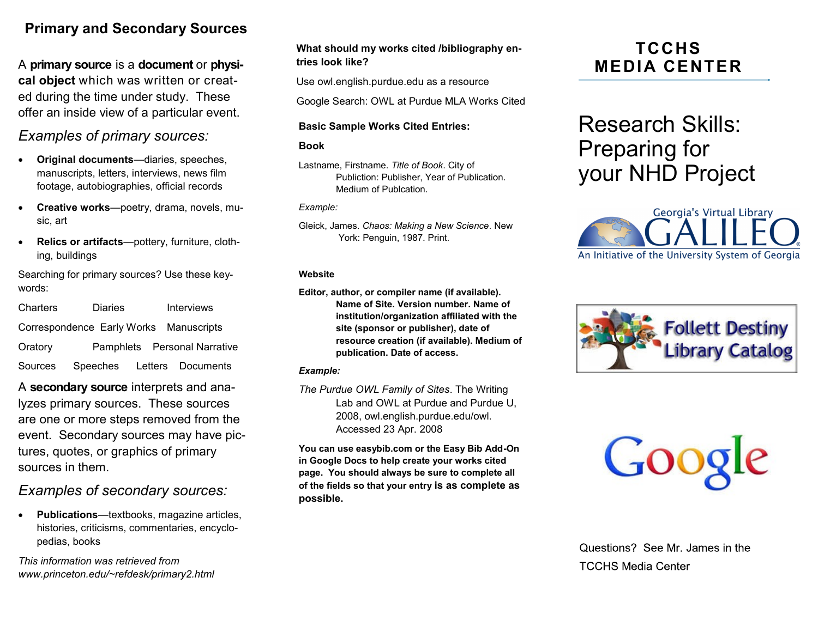## **Primary and Secondary Sources**

A **primary source** is a **document** or **physical object** which was written or created during the time under study. These offer an inside view of a particular event.

## *Examples of primary sources:*

- **Original documents**—diaries, speeches, manuscripts, letters, interviews, news film footage, autobiographies, official records
- **Creative works**—poetry, drama, novels, music, art
- **Relics or artifacts**—pottery, furniture, clothing, buildings

Searching for primary sources? Use these keywords:

| Charters                               | <b>Diaries</b>             |  |  | <b>Interviews</b>            |  |
|----------------------------------------|----------------------------|--|--|------------------------------|--|
| Correspondence Early Works Manuscripts |                            |  |  |                              |  |
| Oratory                                |                            |  |  | Pamphlets Personal Narrative |  |
| Sources                                | Speeches Letters Documents |  |  |                              |  |

A **secondary source** interprets and analyzes primary sources. These sources are one or more steps removed from the event. Secondary sources may have pictures, quotes, or graphics of primary sources in them.

## *Examples of secondary sources:*

 **Publications**—textbooks, magazine articles, histories, criticisms, commentaries, encyclopedias, books

*This information was retrieved from www.princeton.edu/~refdesk/primary2.html*

#### **What should my works cited /bibliography entries look like?**

Use owl.english.purdue.edu as a resource

Google Search: OWL at Purdue MLA Works Cited

#### **Basic Sample Works Cited Entries:**

#### **Book**

Lastname, Firstname. *Title of Book*. City of Publiction: Publisher, Year of Publication. Medium of Publcation.

*Example:*

Gleick, James. *Chaos: Making a New Science*. New York: Penguin, 1987. Print.

#### **Website**

**Editor, author, or compiler name (if available). Name of Site. Version number. Name of institution/organization affiliated with the site (sponsor or publisher), date of resource creation (if available). Medium of publication. Date of access.**

#### *Example:*

*The Purdue OWL Family of Sites*. The Writing Lab and OWL at Purdue and Purdue U, 2008, owl.english.purdue.edu/owl. Accessed 23 Apr. 2008

**You can use easybib.com or the Easy Bib Add-On in Google Docs to help create your works cited page. You should always be sure to complete all of the fields so that your entry is as complete as possible.**

## **TCCHS MEDIA CENTER**

# Research Skills: Preparing for your NHD Project





Google

Questions? See Mr. James in the **TCCHS Media Center**